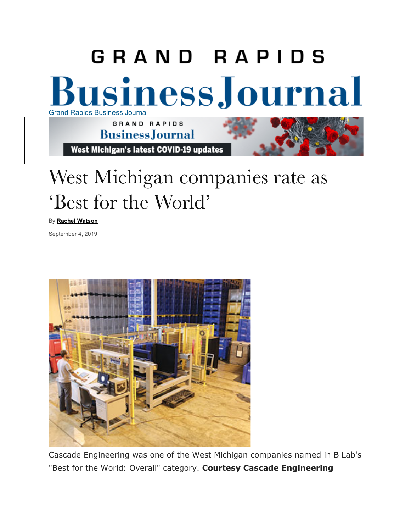

## West Michigan companies rate as 'Best for the World'

By **Rachel Watson**

- September 4, 2019



Cascade Engineering was one of the West Michigan companies named in B Lab's "Best for the World: Overall" category. **Courtesy Cascade Engineering**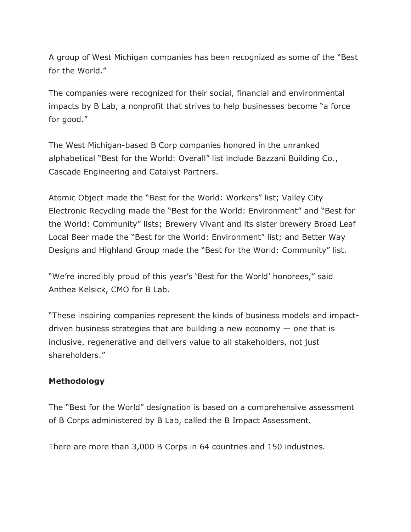A group of West Michigan companies has been recognized as some of the "Best for the World."

The companies were recognized for their social, financial and environmental impacts by B Lab, a nonprofit that strives to help businesses become "a force for good."

The West Michigan-based B Corp companies honored in the unranked alphabetical "Best for the World: Overall" list include Bazzani Building Co., Cascade Engineering and Catalyst Partners.

Atomic Object made the "Best for the World: Workers" list; Valley City Electronic Recycling made the "Best for the World: Environment" and "Best for the World: Community" lists; Brewery Vivant and its sister brewery Broad Leaf Local Beer made the "Best for the World: Environment" list; and Better Way Designs and Highland Group made the "Best for the World: Community" list.

"We're incredibly proud of this year's 'Best for the World' honorees," said Anthea Kelsick, CMO for B Lab.

"These inspiring companies represent the kinds of business models and impactdriven business strategies that are building a new economy  $-$  one that is inclusive, regenerative and delivers value to all stakeholders, not just shareholders."

## **Methodology**

The "Best for the World" designation is based on a comprehensive assessment of B Corps administered by B Lab, called the B Impact Assessment.

There are more than 3,000 B Corps in 64 countries and 150 industries.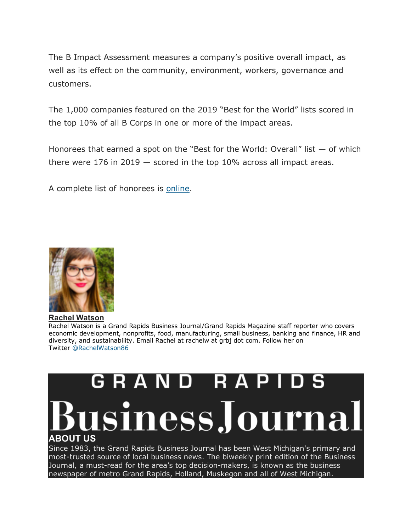The B Impact Assessment measures a company's positive overall impact, as well as its effect on the community, environment, workers, governance and customers.

The 1,000 companies featured on the 2019 "Best for the World" lists scored in the top 10% of all B Corps in one or more of the impact areas.

Honorees that earned a spot on the "Best for the World: Overall" list — of which there were 176 in 2019  $-$  scored in the top 10% across all impact areas.

A complete list of honorees is online.



## **Rachel Watson**

Rachel Watson is a Grand Rapids Business Journal/Grand Rapids Magazine staff reporter who covers economic development, nonprofits, food, manufacturing, small business, banking and finance, HR and diversity, and sustainability. Email Rachel at rachelw at grbj dot com. Follow her on Twitter @RachelWatson86

## GRAND RA sinessJourna **ABOUT US**

Since 1983, the Grand Rapids Business Journal has been West Michigan's primary and most-trusted source of local business news. The biweekly print edition of the Business Journal, a must-read for the area's top decision-makers, is known as the business newspaper of metro Grand Rapids, Holland, Muskegon and all of West Michigan.